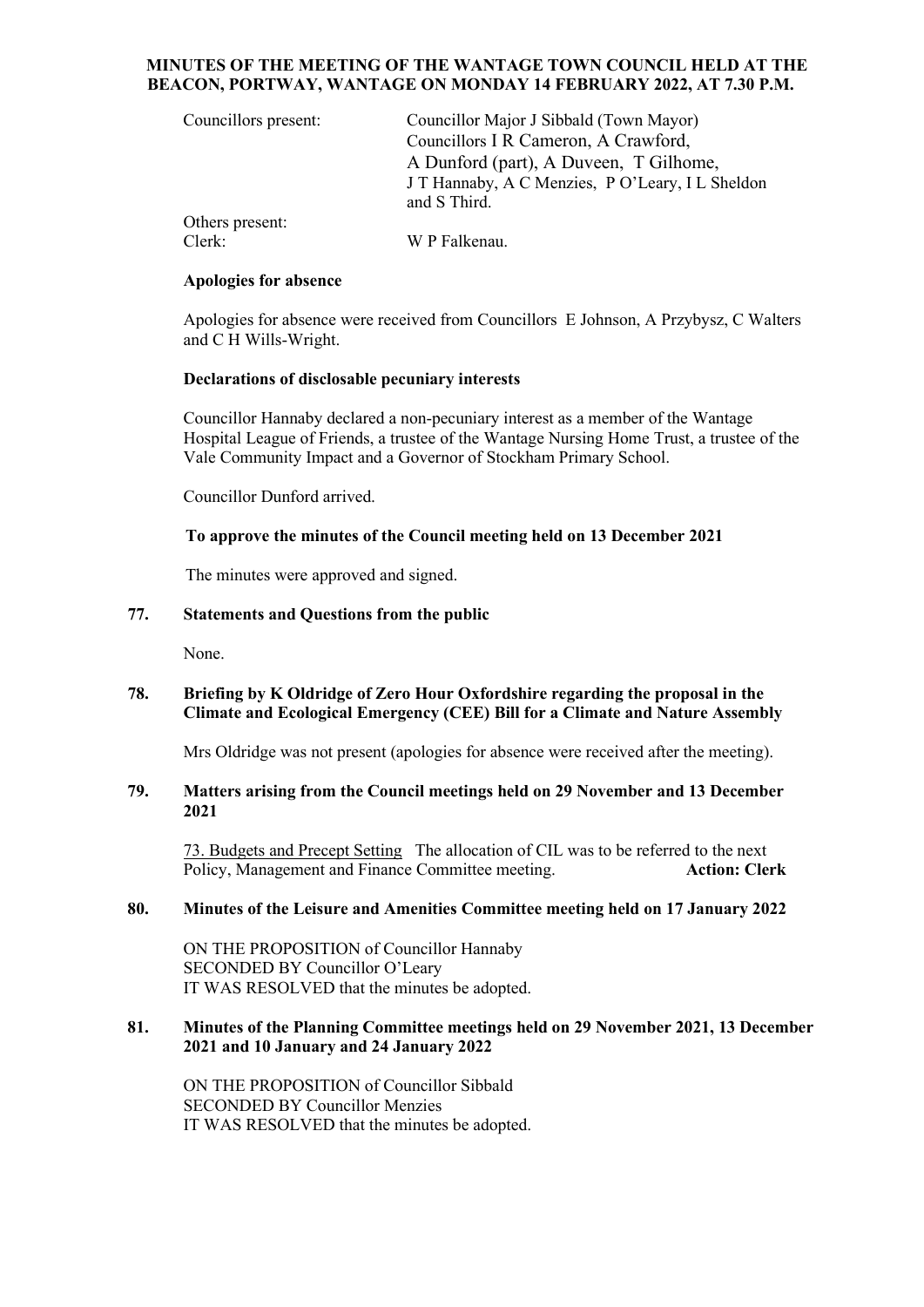### **MINUTES OF THE MEETING OF THE WANTAGE TOWN COUNCIL HELD AT THE BEACON, PORTWAY, WANTAGE ON MONDAY 14 FEBRUARY 2022, AT 7.30 P.M.**

| Councillors present: | Councillor Major J Sibbald (Town Mayor)<br>Councillors I R Cameron, A Crawford, |
|----------------------|---------------------------------------------------------------------------------|
|                      | A Dunford (part), A Duveen, T Gilhome,                                          |
|                      | J T Hannaby, A C Menzies, P O'Leary, I L Sheldon<br>and S Third.                |
| Others present:      |                                                                                 |
| Clerk:               | W P Falkenau                                                                    |

## **Apologies for absence**

Apologies for absence were received from Councillors E Johnson, A Przybysz, C Walters and C H Wills-Wright.

# **Declarations of disclosable pecuniary interests**

Councillor Hannaby declared a non-pecuniary interest as a member of the Wantage Hospital League of Friends, a trustee of the Wantage Nursing Home Trust, a trustee of the Vale Community Impact and a Governor of Stockham Primary School.

Councillor Dunford arrived.

# **To approve the minutes of the Council meeting held on 13 December 2021**

The minutes were approved and signed.

# **77. Statements and Questions from the public**

None.

# **78. Briefing by K Oldridge of Zero Hour Oxfordshire regarding the proposal in the Climate and Ecological Emergency (CEE) Bill for a Climate and Nature Assembly**

Mrs Oldridge was not present (apologies for absence were received after the meeting).

# **79. Matters arising from the Council meetings held on 29 November and 13 December 2021**

73. Budgets and Precept Setting The allocation of CIL was to be referred to the next Policy, Management and Finance Committee meeting. **Action: Clerk**

## **80. Minutes of the Leisure and Amenities Committee meeting held on 17 January 2022**

ON THE PROPOSITION of Councillor Hannaby SECONDED BY Councillor O'Leary IT WAS RESOLVED that the minutes be adopted.

### **81. Minutes of the Planning Committee meetings held on 29 November 2021, 13 December 2021 and 10 January and 24 January 2022**

ON THE PROPOSITION of Councillor Sibbald SECONDED BY Councillor Menzies IT WAS RESOLVED that the minutes be adopted.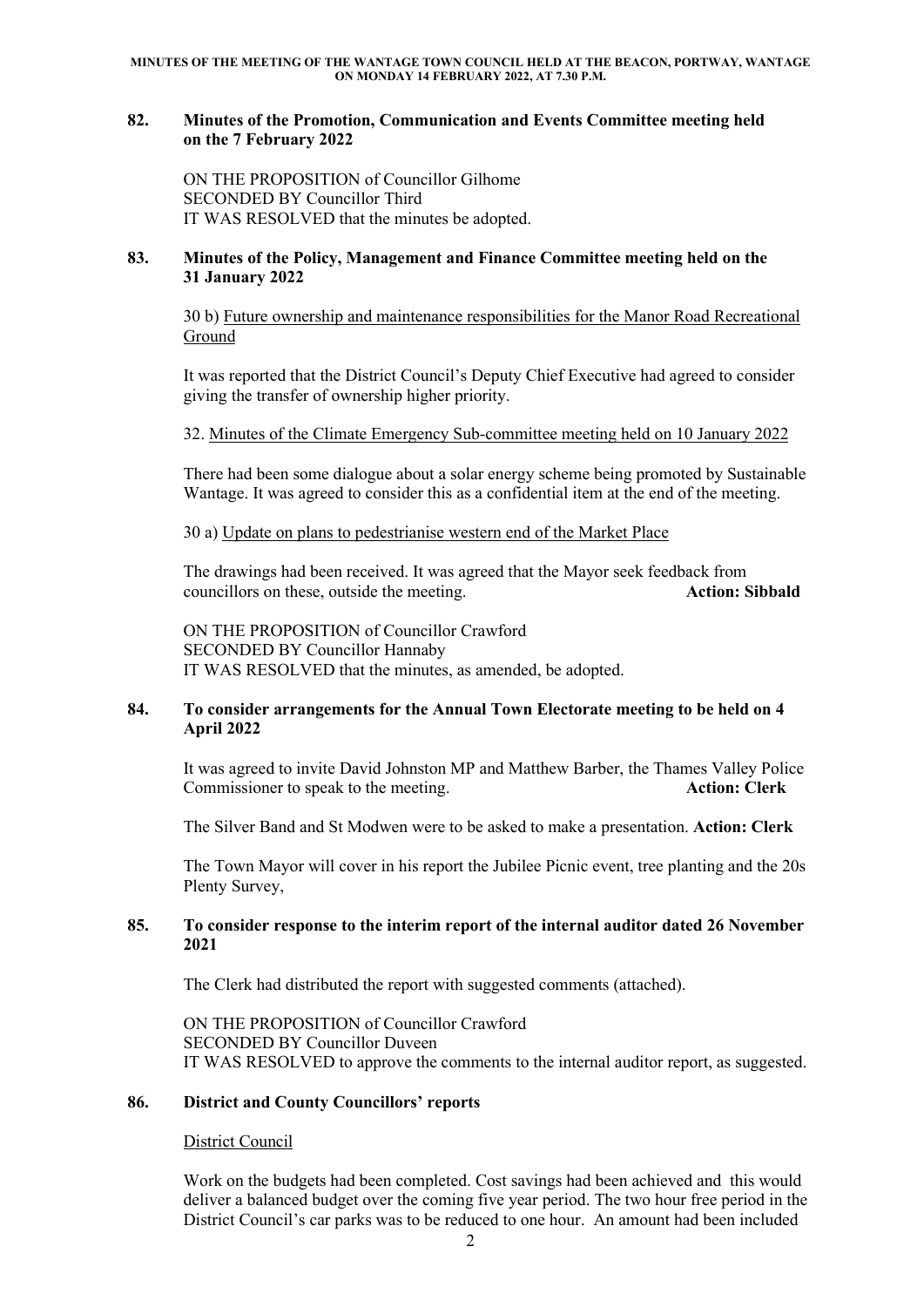### **82. Minutes of the Promotion, Communication and Events Committee meeting held on the 7 February 2022**

ON THE PROPOSITION of Councillor Gilhome SECONDED BY Councillor Third IT WAS RESOLVED that the minutes be adopted.

## **83. Minutes of the Policy, Management and Finance Committee meeting held on the 31 January 2022**

 30 b) Future ownership and maintenance responsibilities for the Manor Road Recreational Ground

 It was reported that the District Council's Deputy Chief Executive had agreed to consider giving the transfer of ownership higher priority.

# 32. Minutes of the Climate Emergency Sub-committee meeting held on 10 January 2022

There had been some dialogue about a solar energy scheme being promoted by Sustainable Wantage. It was agreed to consider this as a confidential item at the end of the meeting.

30 a) Update on plans to pedestrianise western end of the Market Place

The drawings had been received. It was agreed that the Mayor seek feedback from councillors on these, outside the meeting. **Action: Sibbald**

ON THE PROPOSITION of Councillor Crawford SECONDED BY Councillor Hannaby IT WAS RESOLVED that the minutes, as amended, be adopted.

# **84. To consider arrangements for the Annual Town Electorate meeting to be held on 4 April 2022**

It was agreed to invite David Johnston MP and Matthew Barber, the Thames Valley Police Commissioner to speak to the meeting. **Action: Clerk** 

The Silver Band and St Modwen were to be asked to make a presentation. **Action: Clerk**

 The Town Mayor will cover in his report the Jubilee Picnic event, tree planting and the 20s Plenty Survey,

# **85. To consider response to the interim report of the internal auditor dated 26 November 2021**

The Clerk had distributed the report with suggested comments (attached).

ON THE PROPOSITION of Councillor Crawford SECONDED BY Councillor Duveen IT WAS RESOLVED to approve the comments to the internal auditor report, as suggested.

### **86. District and County Councillors' reports**

### District Council

 Work on the budgets had been completed. Cost savings had been achieved and this would deliver a balanced budget over the coming five year period. The two hour free period in the District Council's car parks was to be reduced to one hour. An amount had been included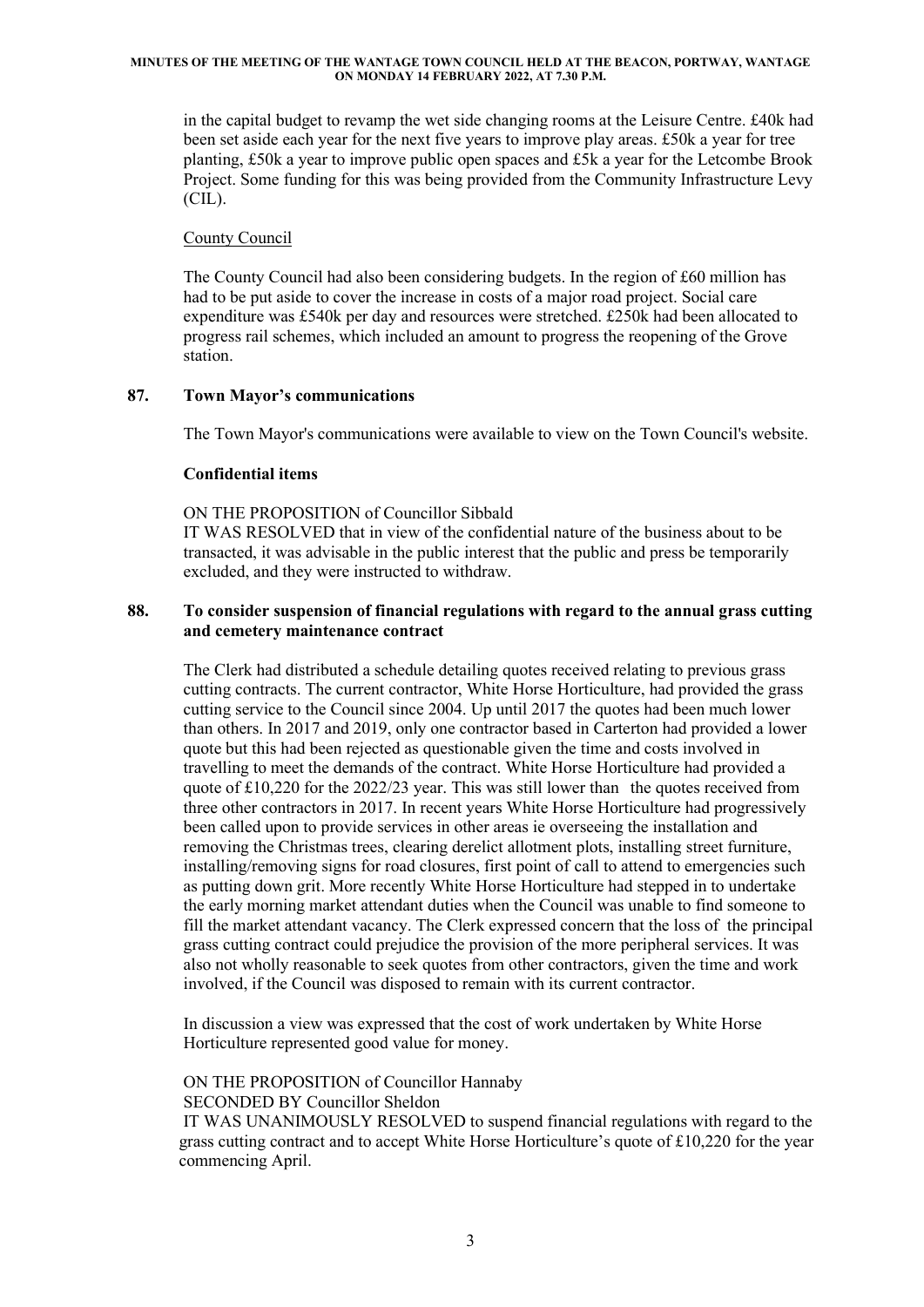#### **MINUTES OF THE MEETING OF THE WANTAGE TOWN COUNCIL HELD AT THE BEACON, PORTWAY, WANTAGE ON MONDAY 14 FEBRUARY 2022, AT 7.30 P.M.**

in the capital budget to revamp the wet side changing rooms at the Leisure Centre. £40k had been set aside each year for the next five years to improve play areas. £50k a year for tree planting, £50k a year to improve public open spaces and £5k a year for the Letcombe Brook Project. Some funding for this was being provided from the Community Infrastructure Levy (CIL).

### County Council

The County Council had also been considering budgets. In the region of  $£60$  million has had to be put aside to cover the increase in costs of a major road project. Social care expenditure was £540k per day and resources were stretched. £250k had been allocated to progress rail schemes, which included an amount to progress the reopening of the Grove station.

### **87. Town Mayor's communications**

The Town Mayor's communications were available to view on the Town Council's website.

### **Confidential items**

ON THE PROPOSITION of Councillor Sibbald

IT WAS RESOLVED that in view of the confidential nature of the business about to be transacted, it was advisable in the public interest that the public and press be temporarily excluded, and they were instructed to withdraw.

### **88. To consider suspension of financial regulations with regard to the annual grass cutting and cemetery maintenance contract**

The Clerk had distributed a schedule detailing quotes received relating to previous grass cutting contracts. The current contractor, White Horse Horticulture, had provided the grass cutting service to the Council since 2004. Up until 2017 the quotes had been much lower than others. In 2017 and 2019, only one contractor based in Carterton had provided a lower quote but this had been rejected as questionable given the time and costs involved in travelling to meet the demands of the contract. White Horse Horticulture had provided a quote of  $\text{\pounds}10,220$  for the 2022/23 year. This was still lower than the quotes received from three other contractors in 2017. In recent years White Horse Horticulture had progressively been called upon to provide services in other areas ie overseeing the installation and removing the Christmas trees, clearing derelict allotment plots, installing street furniture, installing/removing signs for road closures, first point of call to attend to emergencies such as putting down grit. More recently White Horse Horticulture had stepped in to undertake the early morning market attendant duties when the Council was unable to find someone to fill the market attendant vacancy. The Clerk expressed concern that the loss of the principal grass cutting contract could prejudice the provision of the more peripheral services. It was also not wholly reasonable to seek quotes from other contractors, given the time and work involved, if the Council was disposed to remain with its current contractor.

In discussion a view was expressed that the cost of work undertaken by White Horse Horticulture represented good value for money.

ON THE PROPOSITION of Councillor Hannaby SECONDED BY Councillor Sheldon

 IT WAS UNANIMOUSLY RESOLVED to suspend financial regulations with regard to the grass cutting contract and to accept White Horse Horticulture's quote of £10,220 for the year commencing April.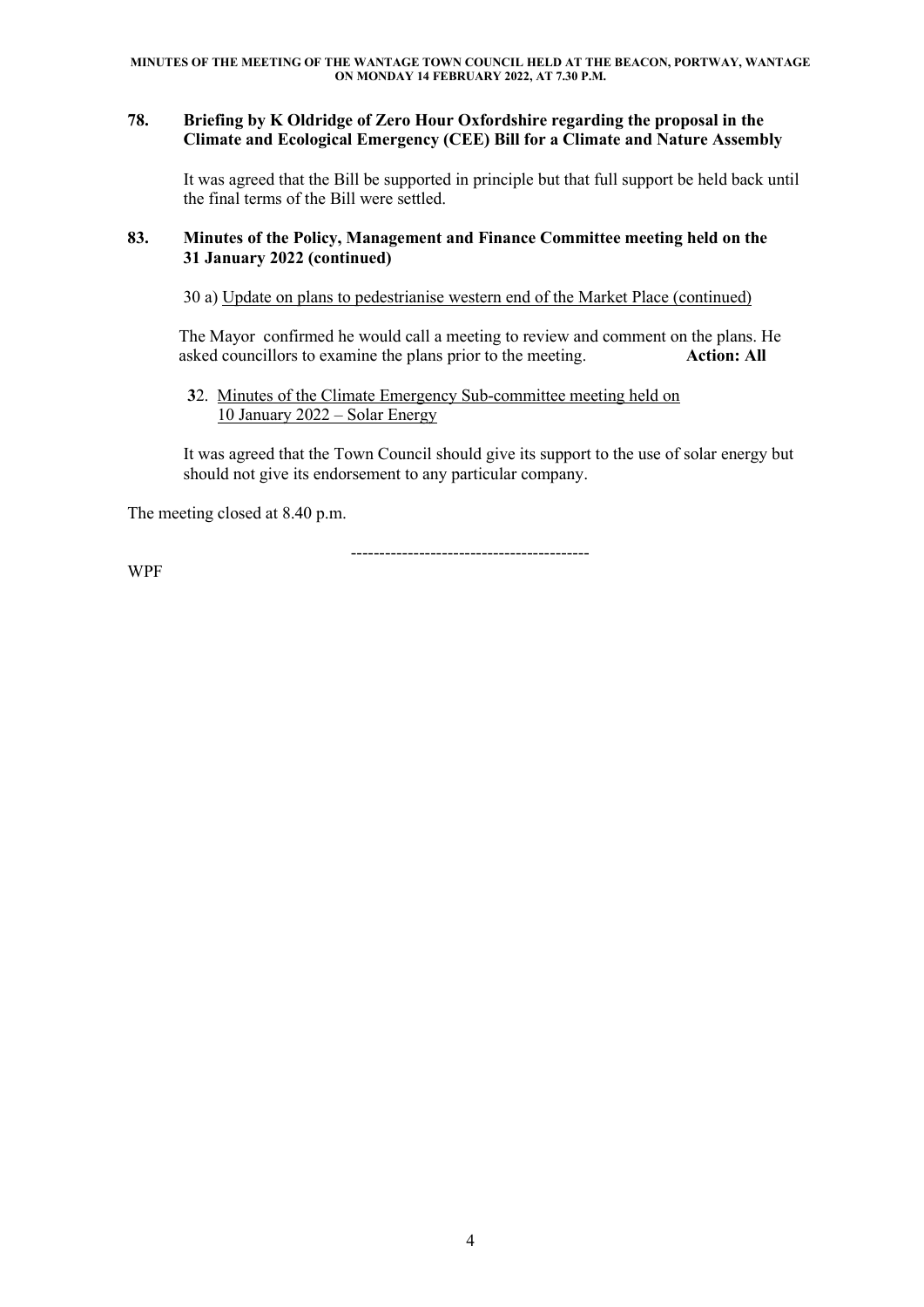# **78. Briefing by K Oldridge of Zero Hour Oxfordshire regarding the proposal in the Climate and Ecological Emergency (CEE) Bill for a Climate and Nature Assembly**

It was agreed that the Bill be supported in principle but that full support be held back until the final terms of the Bill were settled.

# **83. Minutes of the Policy, Management and Finance Committee meeting held on the 31 January 2022 (continued)**

30 a) Update on plans to pedestrianise western end of the Market Place (continued)

 The Mayor confirmed he would call a meeting to review and comment on the plans. He asked councillors to examine the plans prior to the meeting. **Action: All** 

# **3**2. Minutes of the Climate Emergency Sub-committee meeting held on 10 January 2022 – Solar Energy

 It was agreed that the Town Council should give its support to the use of solar energy but should not give its endorsement to any particular company.

The meeting closed at 8.40 p.m.

------------------------------------------

WPF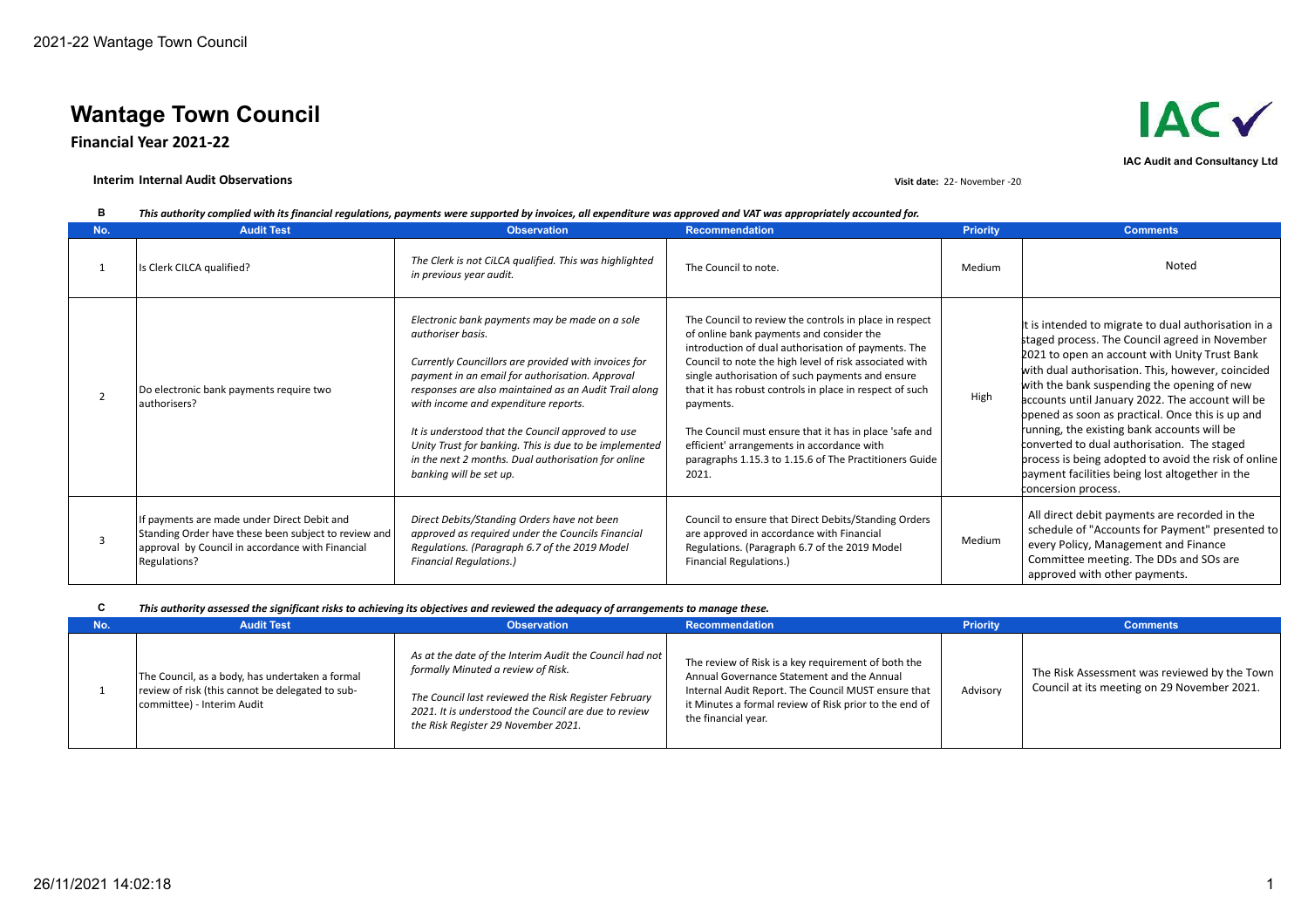# **Wantage Town Council**

**Financial Year 2021-22** 



#### **Interim Internal Audit Observations By a strate: 22-November -20 By a strate: 22-November -2021 Proper -2021**

#### FALSE **B** *This authority complied with its financial regulations, payments were supported by invoices, all expenditure was approved and VAT was appropriately accounted for.*

| No. | <b>Audit Test</b>                                                                                                                                                       | <b>Observation</b>                                                                                                                                                                                                                                                                                                                                                                                                                                                               | <b>Recommendation</b>                                                                                                                                                                                                                                                                                                                                                                                                                                                                                                      | <b>Priority</b> | <b>Comments</b>                                                                                                                                                                                                                                                                                                                                                                                                                                                                                                                                                                                     |
|-----|-------------------------------------------------------------------------------------------------------------------------------------------------------------------------|----------------------------------------------------------------------------------------------------------------------------------------------------------------------------------------------------------------------------------------------------------------------------------------------------------------------------------------------------------------------------------------------------------------------------------------------------------------------------------|----------------------------------------------------------------------------------------------------------------------------------------------------------------------------------------------------------------------------------------------------------------------------------------------------------------------------------------------------------------------------------------------------------------------------------------------------------------------------------------------------------------------------|-----------------|-----------------------------------------------------------------------------------------------------------------------------------------------------------------------------------------------------------------------------------------------------------------------------------------------------------------------------------------------------------------------------------------------------------------------------------------------------------------------------------------------------------------------------------------------------------------------------------------------------|
|     | Is Clerk CILCA qualified?                                                                                                                                               | The Clerk is not CiLCA qualified. This was highlighted<br>in previous year audit.                                                                                                                                                                                                                                                                                                                                                                                                | The Council to note.                                                                                                                                                                                                                                                                                                                                                                                                                                                                                                       | Medium          | Noted                                                                                                                                                                                                                                                                                                                                                                                                                                                                                                                                                                                               |
|     | Do electronic bank payments require two<br>authorisers?                                                                                                                 | Electronic bank payments may be made on a sole<br>authoriser basis.<br>Currently Councillors are provided with invoices for<br>payment in an email for authorisation. Approval<br>responses are also maintained as an Audit Trail along<br>with income and expenditure reports.<br>It is understood that the Council approved to use<br>Unity Trust for banking. This is due to be implemented<br>in the next 2 months. Dual authorisation for online<br>banking will be set up. | The Council to review the controls in place in respect<br>of online bank payments and consider the<br>introduction of dual authorisation of payments. The<br>Council to note the high level of risk associated with<br>single authorisation of such payments and ensure<br>that it has robust controls in place in respect of such<br>payments.<br>The Council must ensure that it has in place 'safe and<br>efficient' arrangements in accordance with<br>paragraphs 1.15.3 to 1.15.6 of The Practitioners Guide<br>2021. | High            | It is intended to migrate to dual authorisation in a<br>staged process. The Council agreed in November<br>2021 to open an account with Unity Trust Bank<br>with dual authorisation. This, however, coincided<br>with the bank suspending the opening of new<br>accounts until January 2022. The account will be<br>ppened as soon as practical. Once this is up and<br>running, the existing bank accounts will be<br>converted to dual authorisation. The staged<br>process is being adopted to avoid the risk of online<br>payment facilities being lost altogether in the<br>concersion process. |
|     | If payments are made under Direct Debit and<br>Standing Order have these been subject to review and<br>approval by Council in accordance with Financial<br>Regulations? | Direct Debits/Standing Orders have not been<br>approved as required under the Councils Financial<br>Regulations. (Paragraph 6.7 of the 2019 Model<br><b>Financial Regulations.)</b>                                                                                                                                                                                                                                                                                              | Council to ensure that Direct Debits/Standing Orders<br>are approved in accordance with Financial<br>Regulations. (Paragraph 6.7 of the 2019 Model<br>Financial Regulations.)                                                                                                                                                                                                                                                                                                                                              | Medium          | All direct debit payments are recorded in the<br>schedule of "Accounts for Payment" presented to<br>every Policy, Management and Finance<br>Committee meeting. The DDs and SOs are<br>approved with other payments.                                                                                                                                                                                                                                                                                                                                                                                 |

#### FALSE **C** *This authority assessed the significant risks to achieving its objectives and reviewed the adequacy of arrangements to manage these.*

| No. | <b>Audit Test</b>                                                                                                                 | <b>Observation</b>                                                                                                                                                                                                                                     | Recommendation                                                                                                                                                                                                                            | Priority | <b>Comments</b>                                                                             |
|-----|-----------------------------------------------------------------------------------------------------------------------------------|--------------------------------------------------------------------------------------------------------------------------------------------------------------------------------------------------------------------------------------------------------|-------------------------------------------------------------------------------------------------------------------------------------------------------------------------------------------------------------------------------------------|----------|---------------------------------------------------------------------------------------------|
|     | The Council, as a body, has undertaken a formal<br>review of risk (this cannot be delegated to sub-<br>committee) - Interim Audit | As at the date of the Interim Audit the Council had not  <br>formally Minuted a review of Risk.<br>The Council last reviewed the Risk Register February<br>2021. It is understood the Council are due to review<br>the Risk Register 29 November 2021. | The review of Risk is a key requirement of both the<br>Annual Governance Statement and the Annual<br>Internal Audit Report. The Council MUST ensure that<br>it Minutes a formal review of Risk prior to the end of<br>the financial year. | Advisory | The Risk Assessment was reviewed by the Town<br>Council at its meeting on 29 November 2021. |